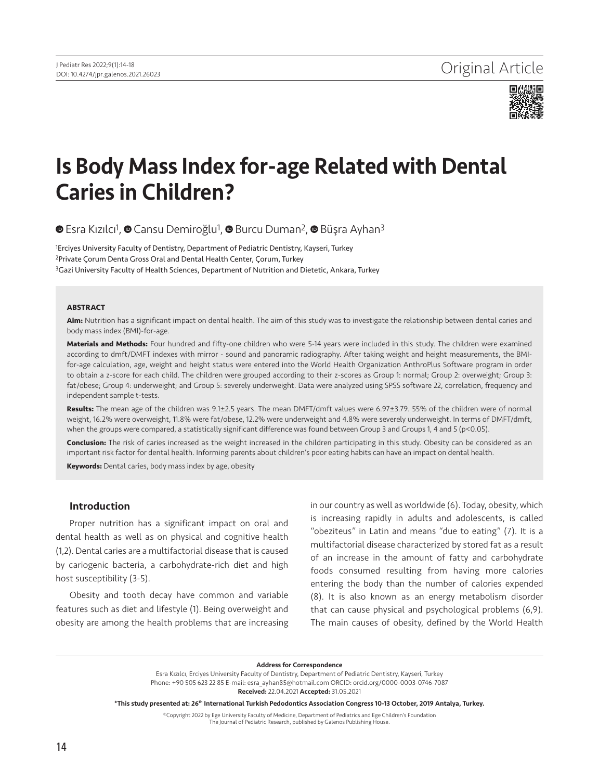

# Is Body Mass Index for-age Related with Dental Caries in Children?

**■Esra Kızılcı<sup>1</sup>, ● Cansu Demiroğlu<sup>1</sup>, ● Burcu Duman<sup>2</sup>, ● Büşra Ayhan<sup>3</sup>** 

<sup>1</sup>Erciyes University Faculty of Dentistry, Department of Pediatric Dentistry, Kayseri, Turkey 2Private Çorum Denta Gross Oral and Dental Health Center, Çorum, Turkey 3Gazi University Faculty of Health Sciences, Department of Nutrition and Dietetic, Ankara, Turkey

#### **ABSTRACT**

**Aim:** Nutrition has a significant impact on dental health. The aim of this study was to investigate the relationship between dental caries and body mass index (BMI)-for-age.

**Materials and Methods:** Four hundred and fifty-one children who were 5-14 years were included in this study. The children were examined according to dmft/DMFT indexes with mirror - sound and panoramic radiography. After taking weight and height measurements, the BMIfor-age calculation, age, weight and height status were entered into the World Health Organization AnthroPlus Software program in order to obtain a z-score for each child. The children were grouped according to their z-scores as Group 1: normal; Group 2: overweight; Group 3: fat/obese; Group 4: underweight; and Group 5: severely underweight. Data were analyzed using SPSS software 22, correlation, frequency and independent sample t-tests.

**Results:** The mean age of the children was 9.1±2.5 years. The mean DMFT/dmft values were 6.97±3.79. 55% of the children were of normal weight, 16.2% were overweight, 11.8% were fat/obese, 12.2% were underweight and 4.8% were severely underweight. In terms of DMFT/dmft, when the groups were compared, a statistically significant difference was found between Group 3 and Groups 1, 4 and 5 (p<0.05).

**Conclusion:** The risk of caries increased as the weight increased in the children participating in this study. Obesity can be considered as an important risk factor for dental health. Informing parents about children's poor eating habits can have an impact on dental health.

**Keywords:** Dental caries, body mass index by age, obesity

# Introduction

Proper nutrition has a significant impact on oral and dental health as well as on physical and cognitive health (1,2). Dental caries are a multifactorial disease that is caused by cariogenic bacteria, a carbohydrate-rich diet and high host susceptibility (3-5).

Obesity and tooth decay have common and variable features such as diet and lifestyle (1). Being overweight and obesity are among the health problems that are increasing

in our country as well as worldwide (6). Today, obesity, which is increasing rapidly in adults and adolescents, is called "obeziteus" in Latin and means "due to eating" (7). It is a multifactorial disease characterized by stored fat as a result of an increase in the amount of fatty and carbohydrate foods consumed resulting from having more calories entering the body than the number of calories expended (8). It is also known as an energy metabolism disorder that can cause physical and psychological problems (6,9). The main causes of obesity, defined by the World Health

#### Address for Correspondence

Esra Kızılcı, Erciyes University Faculty of Dentistry, Department of Pediatric Dentistry, Kayseri, Turkey Phone: +90 505 623 22 85 E-mail: esra\_ayhan85@hotmail.com ORCID: orcid.org/0000-0003-0746-7087 Received: 22.04.2021 Accepted: 31.05.2021

\*This study presented at: 26th International Turkish Pedodontics Association Congress 10-13 October, 2019 Antalya, Turkey.

©Copyright 2022 by Ege University Faculty of Medicine, Department of Pediatrics and Ege Children's Foundation The Journal of Pediatric Research, published by Galenos Publishing House.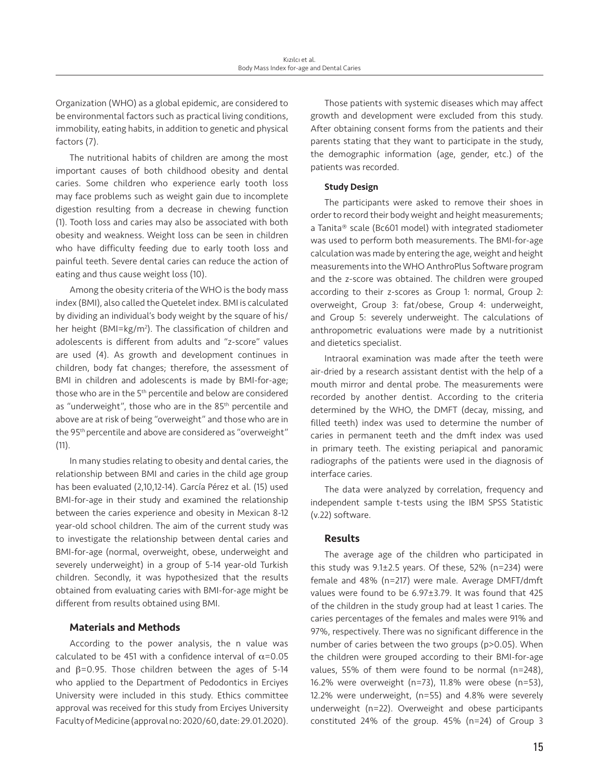Organization (WHO) as a global epidemic, are considered to be environmental factors such as practical living conditions, immobility, eating habits, in addition to genetic and physical factors (7).

The nutritional habits of children are among the most important causes of both childhood obesity and dental caries. Some children who experience early tooth loss may face problems such as weight gain due to incomplete digestion resulting from a decrease in chewing function (1). Tooth loss and caries may also be associated with both obesity and weakness. Weight loss can be seen in children who have difficulty feeding due to early tooth loss and painful teeth. Severe dental caries can reduce the action of eating and thus cause weight loss (10).

Among the obesity criteria of the WHO is the body mass index (BMI), also called the Quetelet index. BMI is calculated by dividing an individual's body weight by the square of his/ her height (BMI=kg/m<sup>2</sup>). The classification of children and adolescents is different from adults and "z-score" values are used (4). As growth and development continues in children, body fat changes; therefore, the assessment of BMI in children and adolescents is made by BMI-for-age; those who are in the 5<sup>th</sup> percentile and below are considered as "underweight", those who are in the 85<sup>th</sup> percentile and above are at risk of being "overweight" and those who are in the 95th percentile and above are considered as "overweight"  $(11).$ 

In many studies relating to obesity and dental caries, the relationship between BMI and caries in the child age group has been evaluated (2,10,12-14). García Pérez et al. (15) used BMI-for-age in their study and examined the relationship between the caries experience and obesity in Mexican 8-12 year-old school children. The aim of the current study was to investigate the relationship between dental caries and BMI-for-age (normal, overweight, obese, underweight and severely underweight) in a group of 5-14 year-old Turkish children. Secondly, it was hypothesized that the results obtained from evaluating caries with BMI-for-age might be different from results obtained using BMI.

# Materials and Methods

According to the power analysis, the n value was calculated to be 451 with a confidence interval of  $\alpha$ =0.05 and  $\beta$ =0.95. Those children between the ages of 5-14 who applied to the Department of Pedodontics in Erciyes University were included in this study. Ethics committee approval was received for this study from Erciyes University Faculty of Medicine (approval no: 2020/60, date: 29.01.2020).

Those patients with systemic diseases which may affect growth and development were excluded from this study. After obtaining consent forms from the patients and their parents stating that they want to participate in the study, the demographic information (age, gender, etc.) of the patients was recorded.

## Study Design

The participants were asked to remove their shoes in order to record their body weight and height measurements; a Tanita® scale (Bc601 model) with integrated stadiometer was used to perform both measurements. The BMI-for-age calculation was made by entering the age, weight and height measurements into the WHO AnthroPlus Software program and the z-score was obtained. The children were grouped according to their z-scores as Group 1: normal, Group 2: overweight, Group 3: fat/obese, Group 4: underweight, and Group 5: severely underweight. The calculations of anthropometric evaluations were made by a nutritionist and dietetics specialist.

Intraoral examination was made after the teeth were air-dried by a research assistant dentist with the help of a mouth mirror and dental probe. The measurements were recorded by another dentist. According to the criteria determined by the WHO, the DMFT (decay, missing, and filled teeth) index was used to determine the number of caries in permanent teeth and the dmft index was used in primary teeth. The existing periapical and panoramic radiographs of the patients were used in the diagnosis of interface caries.

The data were analyzed by correlation, frequency and independent sample t-tests using the IBM SPSS Statistic (v.22) software.

# Results

The average age of the children who participated in this study was 9.1±2.5 years. Of these, 52% (n=234) were female and 48% (n=217) were male. Average DMFT/dmft values were found to be 6.97±3.79. It was found that 425 of the children in the study group had at least 1 caries. The caries percentages of the females and males were 91% and 97%, respectively. There was no significant difference in the number of caries between the two groups (p>0.05). When the children were grouped according to their BMI-for-age values, 55% of them were found to be normal (n=248), 16.2% were overweight (n=73), 11.8% were obese (n=53), 12.2% were underweight, (n=55) and 4.8% were severely underweight (n=22). Overweight and obese participants constituted 24% of the group. 45% (n=24) of Group 3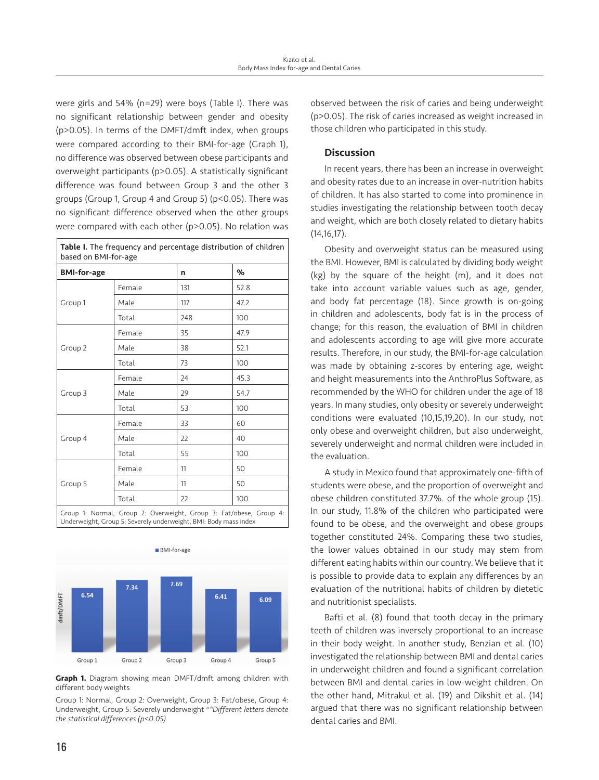were girls and 54% (n=29) were boys (Table I). There was no significant relationship between gender and obesity (p>0.05). In terms of the DMFT/dmft index, when groups were compared according to their BMI-for-age (Graph 1), no difference was observed between obese participants and overweight participants (p>0.05). A statistically significant difference was found between Group 3 and the other 3 groups (Group 1, Group 4 and Group 5) (p<0.05). There was no significant difference observed when the other groups were compared with each other (p>0.05). No relation was

| <b>BMI-for-age</b> |        | n   | %    |
|--------------------|--------|-----|------|
|                    | Female | 131 | 52.8 |
| Group 1            | Male   | 117 | 47.2 |
|                    | Total  | 248 | 100  |
| Group 2            | Female | 35  | 47.9 |
|                    | Male   | 38  | 52.1 |
|                    | Total  | 73  | 100  |
| Group 3            | Female | 24  | 45.3 |
|                    | Male   | 29  | 54.7 |
|                    | Total  | 53  | 100  |
| Group 4            | Female | 33  | 60   |
|                    | Male   | 22  | 40   |
|                    | Total  | 55  | 100  |
| Group 5            | Female | 11  | 50   |
|                    | Male   | 11  | 50   |
|                    | Total  | 22  | 100  |



**Graph 1.** Diagram showing mean DMFT/dmft among children with different body weights

Group 1: Normal, Group 2: Overweight, Group 3: Fat/obese, Group 4: Underweight, Group 5: Severely underweight *a-bDifferent letters denote the statistical differences (p<0.05)*

observed between the risk of caries and being underweight (p>0.05). The risk of caries increased as weight increased in those children who participated in this study.

# Discussion

In recent years, there has been an increase in overweight and obesity rates due to an increase in over-nutrition habits of children. It has also started to come into prominence in studies investigating the relationship between tooth decay and weight, which are both closely related to dietary habits (14,16,17).

Obesity and overweight status can be measured using the BMI. However, BMI is calculated by dividing body weight (kg) by the square of the height (m), and it does not take into account variable values such as age, gender, and body fat percentage (18). Since growth is on-going in children and adolescents, body fat is in the process of change; for this reason, the evaluation of BMI in children and adolescents according to age will give more accurate results. Therefore, in our study, the BMI-for-age calculation was made by obtaining z-scores by entering age, weight and height measurements into the AnthroPlus Software, as recommended by the WHO for children under the age of 18 years. In many studies, only obesity or severely underweight conditions were evaluated (10,15,19,20). In our study, not only obese and overweight children, but also underweight, severely underweight and normal children were included in the evaluation.

A study in Mexico found that approximately one-fifth of students were obese, and the proportion of overweight and obese children constituted 37.7%. of the whole group (15). In our study, 11.8% of the children who participated were found to be obese, and the overweight and obese groups together constituted 24%. Comparing these two studies, the lower values obtained in our study may stem from different eating habits within our country. We believe that it is possible to provide data to explain any differences by an evaluation of the nutritional habits of children by dietetic and nutritionist specialists.

Bafti et al. (8) found that tooth decay in the primary teeth of children was inversely proportional to an increase in their body weight. In another study, Benzian et al. (10) investigated the relationship between BMI and dental caries in underweight children and found a significant correlation between BMI and dental caries in low-weight children. On the other hand, Mitrakul et al. (19) and Dikshit et al. (14) argued that there was no significant relationship between dental caries and BMI.

ſ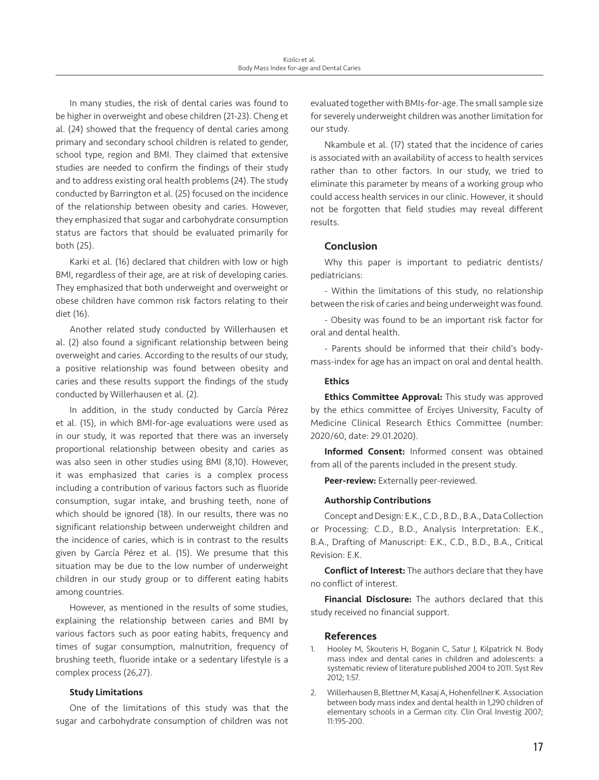In many studies, the risk of dental caries was found to be higher in overweight and obese children (21-23). Cheng et al. (24) showed that the frequency of dental caries among primary and secondary school children is related to gender, school type, region and BMI. They claimed that extensive studies are needed to confirm the findings of their study and to address existing oral health problems (24). The study conducted by Barrington et al. (25) focused on the incidence of the relationship between obesity and caries. However, they emphasized that sugar and carbohydrate consumption status are factors that should be evaluated primarily for both (25).

Karki et al. (16) declared that children with low or high BMI, regardless of their age, are at risk of developing caries. They emphasized that both underweight and overweight or obese children have common risk factors relating to their diet (16).

Another related study conducted by Willerhausen et al. (2) also found a significant relationship between being overweight and caries. According to the results of our study, a positive relationship was found between obesity and caries and these results support the findings of the study conducted by Willerhausen et al. (2).

In addition, in the study conducted by García Pérez et al. (15), in which BMI-for-age evaluations were used as in our study, it was reported that there was an inversely proportional relationship between obesity and caries as was also seen in other studies using BMI (8,10). However, it was emphasized that caries is a complex process including a contribution of various factors such as fluoride consumption, sugar intake, and brushing teeth, none of which should be ignored (18). In our results, there was no significant relationship between underweight children and the incidence of caries, which is in contrast to the results given by García Pérez et al. (15). We presume that this situation may be due to the low number of underweight children in our study group or to different eating habits among countries.

However, as mentioned in the results of some studies, explaining the relationship between caries and BMI by various factors such as poor eating habits, frequency and times of sugar consumption, malnutrition, frequency of brushing teeth, fluoride intake or a sedentary lifestyle is a complex process (26,27).

# Study Limitations

One of the limitations of this study was that the sugar and carbohydrate consumption of children was not evaluated together with BMIs-for-age. The small sample size for severely underweight children was another limitation for our study.

Nkambule et al. (17) stated that the incidence of caries is associated with an availability of access to health services rather than to other factors. In our study, we tried to eliminate this parameter by means of a working group who could access health services in our clinic. However, it should not be forgotten that field studies may reveal different results.

# Conclusion

Why this paper is important to pediatric dentists/ pediatricians:

- Within the limitations of this study, no relationship between the risk of caries and being underweight was found.

- Obesity was found to be an important risk factor for oral and dental health.

- Parents should be informed that their child's bodymass-index for age has an impact on oral and dental health.

## **Ethics**

**Ethics Committee Approval:** This study was approved by the ethics committee of Erciyes University, Faculty of Medicine Clinical Research Ethics Committee (number: 2020/60, date: 29.01.2020).

Informed Consent: Informed consent was obtained from all of the parents included in the present study.

Peer-review: Externally peer-reviewed.

## Authorship Contributions

Concept and Design: E.K., C.D., B.D., B.A., Data Collection or Processing: C.D., B.D., Analysis Interpretation: E.K., B.A., Drafting of Manuscript: E.K., C.D., B.D., B.A., Critical Revision: E.K.

Conflict of Interest: The authors declare that they have no conflict of interest.

Financial Disclosure: The authors declared that this study received no financial support.

### References

- 1. Hooley M, Skouteris H, Boganin C, Satur J, Kilpatrick N. Body mass index and dental caries in children and adolescents: a systematic review of literature published 2004 to 2011. Syst Rev 2012; 1:57.
- 2. Willerhausen B, Blettner M, Kasaj A, Hohenfellner K. Association between body mass index and dental health in 1,290 children of elementary schools in a German city. Clin Oral Investig 2007; 11:195-200.